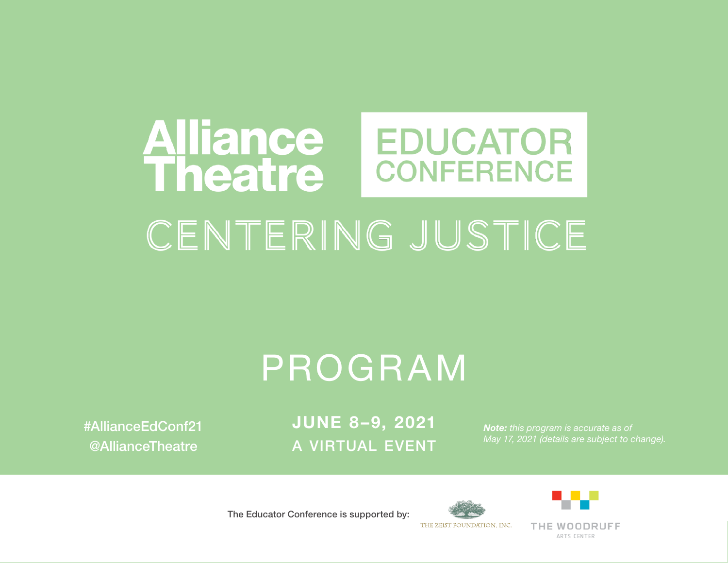# **Alliance<br>Theatre EDUCATOR CONFERENCE** CENTERING JUSTICE

# PROGRAM

#AllianceEdConf21 @AllianceTheatre

JUNE 8–9, 2021 A VIRTUAL EVENT

*Note: this program is accurate as of May 17, 2021 (details are subject to change).*

The Educator Conference is supported by:



THE WOODRUFF ARTS CENTER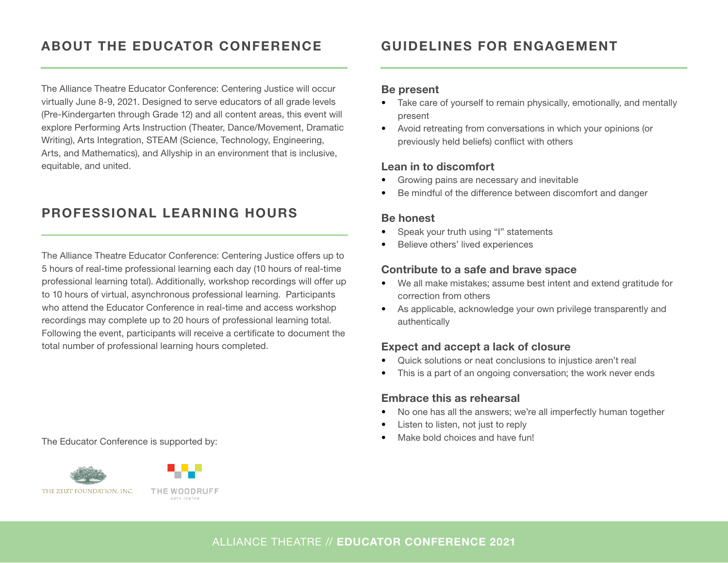# ABOUT THE EDUCATOR CONFERENCE

The Alliance Theatre Educator Conference: Centering Justice will occur virtually June 8-9, 2021. Designed to serve educators of all grade levels (Pre-Kindergarten through Grade 12) and all content areas, this event will explore Performing Arts Instruction (Theater, Dance/Movement, Dramatic Writing), Arts Integration, STEAM (Science, Technology, Engineering, Arts, and Mathematics), and Allyship in an environment that is inclusive, equitable, and united.

### PROFESSIONAL LEARNING HOURS

The Alliance Theatre Educator Conference: Centering Justice offers up to 5 hours of real-time professional learning each day (10 hours of real-time professional learning total). Additionally, workshop recordings will offer up to 10 hours of virtual, asynchronous professional learning. Participants who attend the Educator Conference in real-time and access workshop recordings may complete up to 20 hours of professional learning total. Following the event, participants will receive a certificate to document the total number of professional learning hours completed.

• Make bold choices and have fun! The Educator Conference is supported by:





### GUIDELINES FOR ENGAGEMENT

#### Be present

- Take care of yourself to remain physically, emotionally, and mentally present
- Avoid retreating from conversations in which your opinions (or previously held beliefs) conflict with others

#### Lean in to discomfort

- Growing pains are necessary and inevitable
- Be mindful of the difference between discomfort and danger

#### Be honest

- Speak your truth using "I" statements
- Believe others' lived experiences

#### Contribute to a safe and brave space

- We all make mistakes; assume best intent and extend gratitude for correction from others
- As applicable, acknowledge your own privilege transparently and authentically

#### Expect and accept a lack of closure

- Quick solutions or neat conclusions to injustice aren't real
- This is a part of an ongoing conversation; the work never ends

#### Embrace this as rehearsal

- No one has all the answers; we're all imperfectly human together
- Listen to listen, not just to reply
-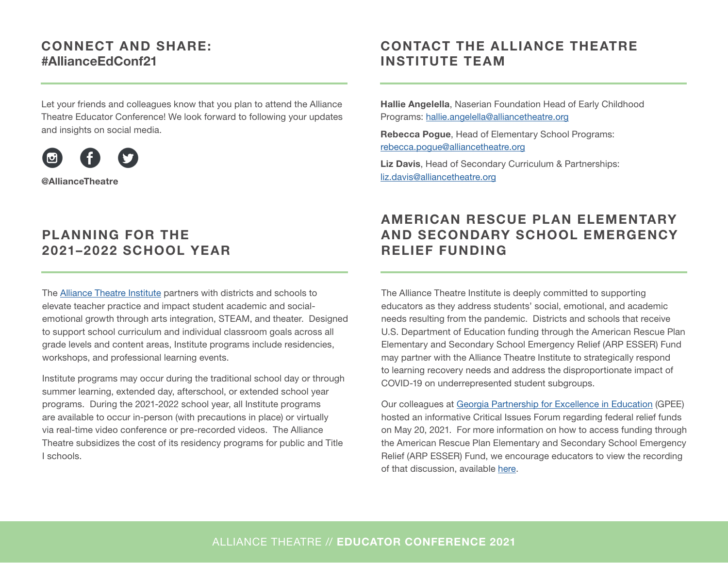### CONNECT AND SHARE: #AllianceEdConf21

Let your friends and colleagues know that you plan to attend the Alliance Theatre Educator Conference! We look forward to following your updates and insights on social media.



@AllianceTheatre

### PLANNING FOR THE 2021–2022 SCHOOL YEAR

The [Alliance Theatre Institute](https://alliancetheatre.org/content/alliance-arts-learning-institute) partners with districts and schools to elevate teacher practice and impact student academic and socialemotional growth through arts integration, STEAM, and theater. Designed to support school curriculum and individual classroom goals across all grade levels and content areas, Institute programs include residencies, workshops, and professional learning events.

Institute programs may occur during the traditional school day or through summer learning, extended day, afterschool, or extended school year programs. During the 2021-2022 school year, all Institute programs are available to occur in-person (with precautions in place) or virtually via real-time video conference or pre-recorded videos. The Alliance Theatre subsidizes the cost of its residency programs for public and Title I schools.

## CONTACT THE ALLIANCE THEATRE INSTITUTE TEAM

Hallie Angelella, Naserian Foundation Head of Early Childhood Programs: [hallie.angelella@alliancetheatre.org](mailto:hallie.angelella@alliancetheatre.org) 

Rebecca Pogue, Head of Elementary School Programs: [rebecca.pogue@alliancetheatre.org](mailto:rebecca.pogue@alliancetheatre.org)

Liz Davis, Head of Secondary Curriculum & Partnerships: [liz.davis@alliancetheatre.org](mailto:liz.davis@alliancetheatre.org)

## AMERICAN RESCUE PLAN ELEMENTARY AND SECONDARY SCHOOL EMERGENCY RELIEF FUNDING

The Alliance Theatre Institute is deeply committed to supporting educators as they address students' social, emotional, and academic needs resulting from the pandemic. Districts and schools that receive U.S. Department of Education funding through the American Rescue Plan Elementary and Secondary School Emergency Relief (ARP ESSER) Fund may partner with the Alliance Theatre Institute to strategically respond to learning recovery needs and address the disproportionate impact of COVID-19 on underrepresented student subgroups.

Our colleagues at [Georgia Partnership for Excellence in Education](https://gpee.org/) (GPEE) hosted an informative Critical Issues Forum regarding federal relief funds on May 20, 2021. For more information on how to access funding through the American Rescue Plan Elementary and Secondary School Emergency Relief (ARP ESSER) Fund, we encourage educators to view the recording of that discussion, available [here](https://vimeo.com/543299391).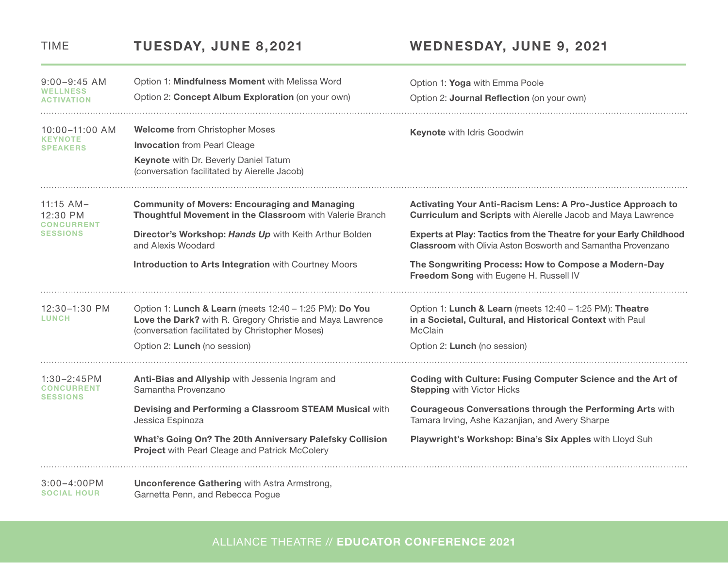| $9:00 - 9:45$ AM<br><b>WELLNESS</b><br><b>ACTIVATION</b>        | Option 1: Mindfulness Moment with Melissa Word                                                                                                                          | Option 1: Yoga with Emma Poole                                                                                                            |
|-----------------------------------------------------------------|-------------------------------------------------------------------------------------------------------------------------------------------------------------------------|-------------------------------------------------------------------------------------------------------------------------------------------|
|                                                                 | Option 2: Concept Album Exploration (on your own)                                                                                                                       | Option 2: Journal Reflection (on your own)                                                                                                |
| $10:00 - 11:00$ AM<br><b>KEYNOTE</b><br><b>SPEAKERS</b>         | <b>Welcome from Christopher Moses</b>                                                                                                                                   | <b>Keynote with Idris Goodwin</b>                                                                                                         |
|                                                                 | <b>Invocation</b> from Pearl Cleage                                                                                                                                     |                                                                                                                                           |
|                                                                 | Keynote with Dr. Beverly Daniel Tatum<br>(conversation facilitated by Aierelle Jacob)                                                                                   |                                                                                                                                           |
| $11:15$ AM-<br>12:30 PM<br><b>CONCURRENT</b><br><b>SESSIONS</b> | <b>Community of Movers: Encouraging and Managing</b><br>Thoughtful Movement in the Classroom with Valerie Branch                                                        | <b>Activating Your Anti-Racism Lens: A Pro-Justice Approach to</b><br><b>Curriculum and Scripts with Aierelle Jacob and Maya Lawrence</b> |
|                                                                 | Director's Workshop: Hands Up with Keith Arthur Bolden<br>and Alexis Woodard                                                                                            | Experts at Play: Tactics from the Theatre for your Early Childhood<br><b>Classroom</b> with Olivia Aston Bosworth and Samantha Provenzano |
|                                                                 | Introduction to Arts Integration with Courtney Moors                                                                                                                    | The Songwriting Process: How to Compose a Modern-Day<br>Freedom Song with Eugene H. Russell IV                                            |
| 12:30-1:30 PM<br><b>LUNCH</b>                                   | Option 1: Lunch & Learn (meets 12:40 - 1:25 PM): Do You<br>Love the Dark? with R. Gregory Christie and Maya Lawrence<br>(conversation facilitated by Christopher Moses) | Option 1: Lunch & Learn (meets 12:40 - 1:25 PM): Theatre<br>in a Societal, Cultural, and Historical Context with Paul<br><b>McClain</b>   |
|                                                                 | Option 2: Lunch (no session)                                                                                                                                            | Option 2: Lunch (no session)                                                                                                              |
| 1:30-2:45PM<br><b>CONCURRENT</b><br><b>SESSIONS</b>             | Anti-Bias and Allyship with Jessenia Ingram and<br>Samantha Provenzano                                                                                                  | Coding with Culture: Fusing Computer Science and the Art of<br><b>Stepping with Victor Hicks</b>                                          |
|                                                                 | Devising and Performing a Classroom STEAM Musical with<br>Jessica Espinoza                                                                                              | <b>Courageous Conversations through the Performing Arts with</b><br>Tamara Irving, Ashe Kazanjian, and Avery Sharpe                       |
|                                                                 | What's Going On? The 20th Anniversary Palefsky Collision<br><b>Project with Pearl Cleage and Patrick McColery</b>                                                       | Playwright's Workshop: Bina's Six Apples with Lloyd Suh                                                                                   |
| $3:00 - 4:00 PM$                                                | <b>Unconference Gathering with Astra Armstrong,</b>                                                                                                                     |                                                                                                                                           |

# TIME TUESDAY, JUNE 8,2021 WEDNESDAY, JUNE 9, 2021

SOCIAL HOUR

Garnetta Penn, and Rebecca Pogue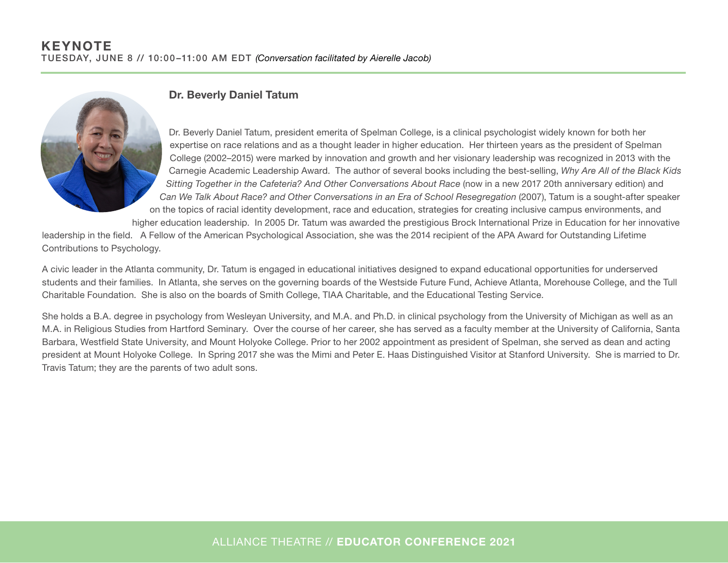

#### Dr. Beverly Daniel Tatum

Dr. Beverly Daniel Tatum, president emerita of Spelman College, is a clinical psychologist widely known for both her expertise on race relations and as a thought leader in higher education. Her thirteen years as the president of Spelman College (2002–2015) were marked by innovation and growth and her visionary leadership was recognized in 2013 with the Carnegie Academic Leadership Award. The author of several books including the best-selling, *Why Are All of the Black Kids Sitting Together in the Cafeteria? And Other Conversations About Race* (now in a new 2017 20th anniversary edition) and *Can We Talk About Race? and Other Conversations in an Era of School Resegregation* (2007), Tatum is a sought-after speaker on the topics of racial identity development, race and education, strategies for creating inclusive campus environments, and

higher education leadership. In 2005 Dr. Tatum was awarded the prestigious Brock International Prize in Education for her innovative

leadership in the field. A Fellow of the American Psychological Association, she was the 2014 recipient of the APA Award for Outstanding Lifetime Contributions to Psychology.

A civic leader in the Atlanta community, Dr. Tatum is engaged in educational initiatives designed to expand educational opportunities for underserved students and their families. In Atlanta, she serves on the governing boards of the Westside Future Fund, Achieve Atlanta, Morehouse College, and the Tull Charitable Foundation. She is also on the boards of Smith College, TIAA Charitable, and the Educational Testing Service.

She holds a B.A. degree in psychology from Wesleyan University, and M.A. and Ph.D. in clinical psychology from the University of Michigan as well as an M.A. in Religious Studies from Hartford Seminary. Over the course of her career, she has served as a faculty member at the University of California, Santa Barbara, Westfield State University, and Mount Holyoke College. Prior to her 2002 appointment as president of Spelman, she served as dean and acting president at Mount Holyoke College. In Spring 2017 she was the Mimi and Peter E. Haas Distinguished Visitor at Stanford University. She is married to Dr. Travis Tatum; they are the parents of two adult sons.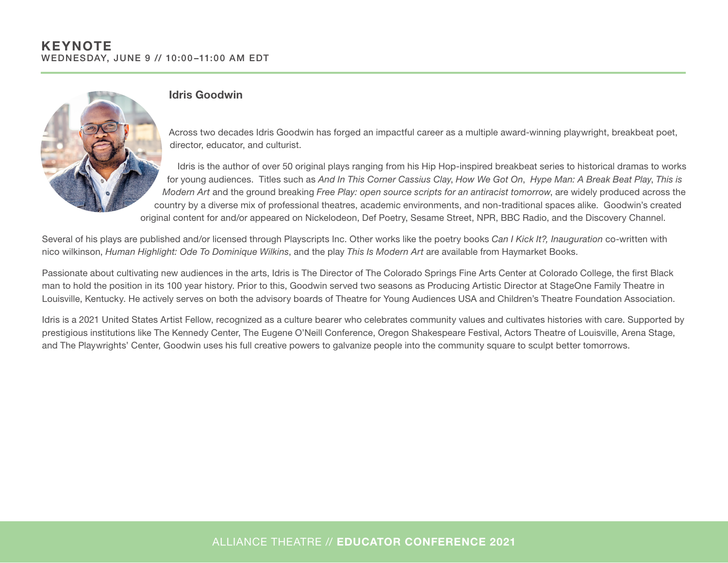

#### Idris Goodwin

Across two decades Idris Goodwin has forged an impactful career as a multiple award-winning playwright, breakbeat poet, director, educator, and culturist.

 Idris is the author of over 50 original plays ranging from his Hip Hop-inspired breakbeat series to historical dramas to works for young audiences. Titles such as *And In This Corner Cassius Clay*, *How We Got On*, *Hype Man: A Break Beat Play*, *This is Modern Art* and the ground breaking *Free Play: open source scripts for an antiracist tomorrow*, are widely produced across the country by a diverse mix of professional theatres, academic environments, and non-traditional spaces alike. Goodwin's created original content for and/or appeared on Nickelodeon, Def Poetry, Sesame Street, NPR, BBC Radio, and the Discovery Channel.

Several of his plays are published and/or licensed through Playscripts Inc. Other works like the poetry books *Can I Kick It?, Inauguration* co-written with nico wilkinson, *Human Highlight: Ode To Dominique Wilkins*, and the play *This Is Modern Art* are available from Haymarket Books.

Passionate about cultivating new audiences in the arts, Idris is The Director of The Colorado Springs Fine Arts Center at Colorado College, the first Black man to hold the position in its 100 year history. Prior to this, Goodwin served two seasons as Producing Artistic Director at StageOne Family Theatre in Louisville, Kentucky. He actively serves on both the advisory boards of Theatre for Young Audiences USA and Children's Theatre Foundation Association.

Idris is a 2021 United States Artist Fellow, recognized as a culture bearer who celebrates community values and cultivates histories with care. Supported by prestigious institutions like The Kennedy Center, The Eugene O'Neill Conference, Oregon Shakespeare Festival, Actors Theatre of Louisville, Arena Stage, and The Playwrights' Center, Goodwin uses his full creative powers to galvanize people into the community square to sculpt better tomorrows.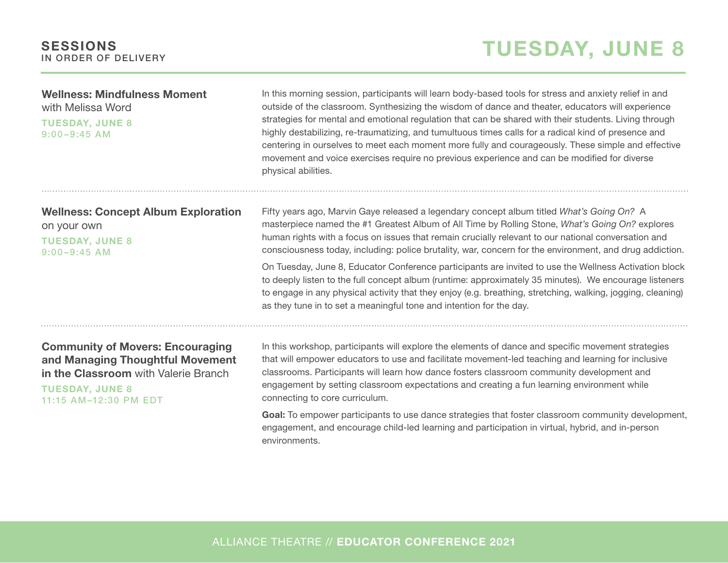| <b>Wellness: Mindfulness Moment</b><br>with Melissa Word<br><b>TUESDAY, JUNE 8</b><br>$9:00 - 9:45$ AM                                                                 | In this morning session, participants will learn body-based tools for stress and anxiety relief in and<br>outside of the classroom. Synthesizing the wisdom of dance and theater, educators will experience<br>strategies for mental and emotional regulation that can be shared with their students. Living through<br>highly destabilizing, re-traumatizing, and tumultuous times calls for a radical kind of presence and<br>centering in ourselves to meet each moment more fully and courageously. These simple and effective<br>movement and voice exercises require no previous experience and can be modified for diverse<br>physical abilities. |
|------------------------------------------------------------------------------------------------------------------------------------------------------------------------|----------------------------------------------------------------------------------------------------------------------------------------------------------------------------------------------------------------------------------------------------------------------------------------------------------------------------------------------------------------------------------------------------------------------------------------------------------------------------------------------------------------------------------------------------------------------------------------------------------------------------------------------------------|
| <b>Wellness: Concept Album Exploration</b><br>on your own<br><b>TUESDAY, JUNE 8</b><br>$9:00 - 9:45$ AM                                                                | Fifty years ago, Marvin Gaye released a legendary concept album titled What's Going On? A<br>masterpiece named the #1 Greatest Album of All Time by Rolling Stone, What's Going On? explores<br>human rights with a focus on issues that remain crucially relevant to our national conversation and<br>consciousness today, including: police brutality, war, concern for the environment, and drug addiction.                                                                                                                                                                                                                                           |
|                                                                                                                                                                        | On Tuesday, June 8, Educator Conference participants are invited to use the Wellness Activation block<br>to deeply listen to the full concept album (runtime: approximately 35 minutes). We encourage listeners<br>to engage in any physical activity that they enjoy (e.g. breathing, stretching, walking, jogging, cleaning)<br>as they tune in to set a meaningful tone and intention for the day.                                                                                                                                                                                                                                                    |
| <b>Community of Movers: Encouraging</b><br>and Managing Thoughtful Movement<br>in the Classroom with Valerie Branch<br><b>TUESDAY, JUNE 8</b><br>11:15 AM-12:30 PM EDT | In this workshop, participants will explore the elements of dance and specific movement strategies<br>that will empower educators to use and facilitate movement-led teaching and learning for inclusive<br>classrooms. Participants will learn how dance fosters classroom community development and<br>engagement by setting classroom expectations and creating a fun learning environment while<br>connecting to core curriculum.                                                                                                                                                                                                                    |
|                                                                                                                                                                        | Goal: To empower participants to use dance strategies that foster classroom community development,<br>engagement, and encourage child-led learning and participation in virtual, hybrid, and in-person                                                                                                                                                                                                                                                                                                                                                                                                                                                   |

ALLIANCE THEATRE // EDUCATOR CONFERENCE 2021

environments.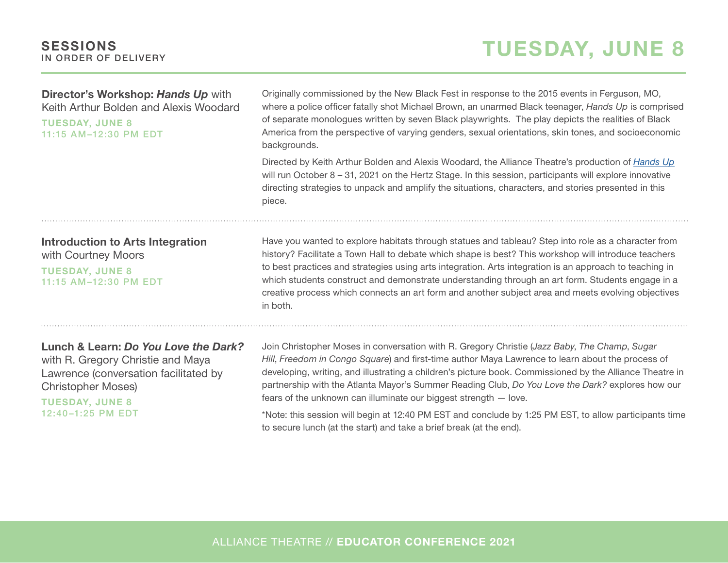# TUESDAY, JUNE 8

| Director's Workshop: Hands Up with<br>Keith Arthur Bolden and Alexis Woodard<br><b>TUESDAY, JUNE 8</b><br>11:15 AM-12:30 PM EDT                                                                | Originally commissioned by the New Black Fest in response to the 2015 events in Ferguson, MO,<br>where a police officer fatally shot Michael Brown, an unarmed Black teenager, Hands Up is comprised<br>of separate monologues written by seven Black playwrights. The play depicts the realities of Black<br>America from the perspective of varying genders, sexual orientations, skin tones, and socioeconomic<br>backgrounds.                                                                                                                                                                                                                                       |  |  |
|------------------------------------------------------------------------------------------------------------------------------------------------------------------------------------------------|-------------------------------------------------------------------------------------------------------------------------------------------------------------------------------------------------------------------------------------------------------------------------------------------------------------------------------------------------------------------------------------------------------------------------------------------------------------------------------------------------------------------------------------------------------------------------------------------------------------------------------------------------------------------------|--|--|
|                                                                                                                                                                                                | Directed by Keith Arthur Bolden and Alexis Woodard, the Alliance Theatre's production of <i>Hands Up</i><br>will run October $8 - 31$ , 2021 on the Hertz Stage. In this session, participants will explore innovative<br>directing strategies to unpack and amplify the situations, characters, and stories presented in this<br>piece.                                                                                                                                                                                                                                                                                                                                |  |  |
| <b>Introduction to Arts Integration</b><br>with Courtney Moors<br><b>TUESDAY, JUNE 8</b><br>11:15 AM-12:30 PM EDT                                                                              | Have you wanted to explore habitats through statues and tableau? Step into role as a character from<br>history? Facilitate a Town Hall to debate which shape is best? This workshop will introduce teachers<br>to best practices and strategies using arts integration. Arts integration is an approach to teaching in<br>which students construct and demonstrate understanding through an art form. Students engage in a<br>creative process which connects an art form and another subject area and meets evolving objectives<br>in both.                                                                                                                            |  |  |
| Lunch & Learn: Do You Love the Dark?<br>with R. Gregory Christie and Maya<br>Lawrence (conversation facilitated by<br><b>Christopher Moses)</b><br><b>TUESDAY, JUNE 8</b><br>12:40-1:25 PM EDT | Join Christopher Moses in conversation with R. Gregory Christie (Jazz Baby, The Champ, Sugar<br>Hill, Freedom in Congo Square) and first-time author Maya Lawrence to learn about the process of<br>developing, writing, and illustrating a children's picture book. Commissioned by the Alliance Theatre in<br>partnership with the Atlanta Mayor's Summer Reading Club, Do You Love the Dark? explores how our<br>fears of the unknown can illuminate our biggest strength $-$ love.<br>*Note: this session will begin at 12:40 PM EST and conclude by 1:25 PM EST, to allow participants time<br>to secure lunch (at the start) and take a brief break (at the end). |  |  |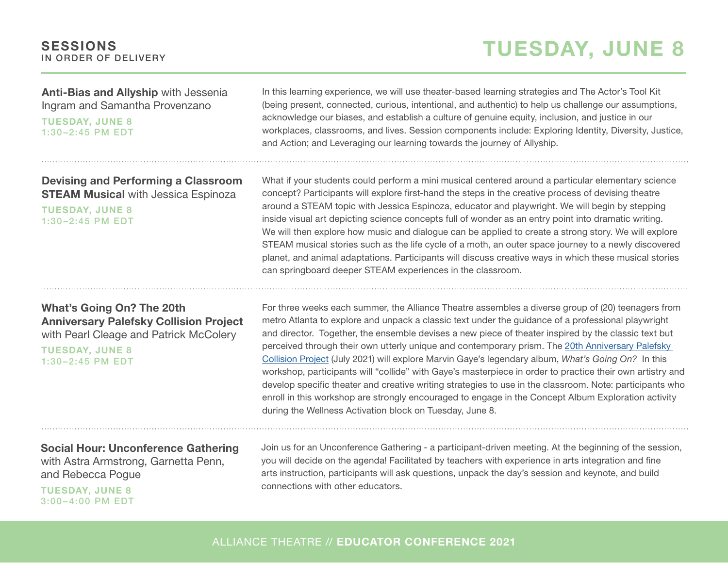# TUESDAY, JUNE 8

Anti-Bias and Allyship with Jessenia Ingram and Samantha Provenzano

TUESDAY, JUNE 8 1:30 –2:45 PM EDT

Devising and Performing a Classroom **STEAM Musical with Jessica Espinoza** 

TUESDAY, JUNE 8 1:30 –2:45 PM EDT

What's Going On? The 20th Anniversary Palefsky Collision Project with Pearl Cleage and Patrick McColery

TUESDAY, JUNE 8 1:30 –2:45 PM EDT

Social Hour: Unconference Gathering with Astra Armstrong, Garnetta Penn, and Rebecca Pogue

TUESDAY, JUNE 8 3:00 – 4:00 PM EDT In this learning experience, we will use theater-based learning strategies and The Actor's Tool Kit (being present, connected, curious, intentional, and authentic) to help us challenge our assumptions, acknowledge our biases, and establish a culture of genuine equity, inclusion, and justice in our workplaces, classrooms, and lives. Session components include: Exploring Identity, Diversity, Justice, and Action; and Leveraging our learning towards the journey of Allyship.

What if your students could perform a mini musical centered around a particular elementary science concept? Participants will explore first-hand the steps in the creative process of devising theatre around a STEAM topic with Jessica Espinoza, educator and playwright. We will begin by stepping inside visual art depicting science concepts full of wonder as an entry point into dramatic writing. We will then explore how music and dialogue can be applied to create a strong story. We will explore STEAM musical stories such as the life cycle of a moth, an outer space journey to a newly discovered planet, and animal adaptations. Participants will discuss creative ways in which these musical stories can springboard deeper STEAM experiences in the classroom.

For three weeks each summer, the Alliance Theatre assembles a diverse group of (20) teenagers from metro Atlanta to explore and unpack a classic text under the guidance of a professional playwright and director. Together, the ensemble devises a new piece of theater inspired by the classic text but perceived through their own utterly unique and contemporary prism. The [20th Anniversary Palefsky](https://alliancetheatre.org/content/palefsky-collision-project)  [Collision Project](https://alliancetheatre.org/content/palefsky-collision-project) (July 2021) will explore Marvin Gaye's legendary album, *What's Going On?* In this workshop, participants will "collide" with Gaye's masterpiece in order to practice their own artistry and develop specific theater and creative writing strategies to use in the classroom. Note: participants who enroll in this workshop are strongly encouraged to engage in the Concept Album Exploration activity during the Wellness Activation block on Tuesday, June 8.

Join us for an Unconference Gathering - a participant-driven meeting. At the beginning of the session, you will decide on the agenda! Facilitated by teachers with experience in arts integration and fine arts instruction, participants will ask questions, unpack the day's session and keynote, and build connections with other educators.

#### ALLIANCE THEATRE // EDUCATOR CONFERENCE 2021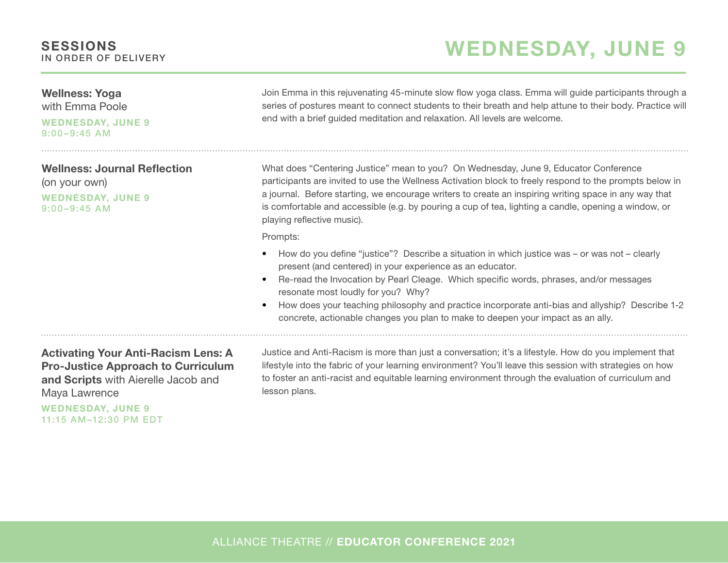#### Wellness: Yoga

with Emma Poole

WEDNESDAY, JUNE 9 9:00–9:45 AM

Wellness: Journal Reflection (on your own) WEDNESDAY, JUNE 9 9:00–9:45 AM

Join Emma in this rejuvenating 45-minute slow flow yoga class. Emma will guide participants through a series of postures meant to connect students to their breath and help attune to their body. Practice will end with a brief guided meditation and relaxation. All levels are welcome.

WEDNESDAY, JUNE 9

What does "Centering Justice" mean to you? On Wednesday, June 9, Educator Conference participants are invited to use the Wellness Activation block to freely respond to the prompts below in a journal. Before starting, we encourage writers to create an inspiring writing space in any way that is comfortable and accessible (e.g. by pouring a cup of tea, lighting a candle, opening a window, or playing reflective music).

Prompts:

- How do you define "justice"? Describe a situation in which justice was or was not clearly present (and centered) in your experience as an educator.
- Re-read the Invocation by Pearl Cleage. Which specific words, phrases, and/or messages resonate most loudly for you? Why?
- How does your teaching philosophy and practice incorporate anti-bias and allyship? Describe 1-2 concrete, actionable changes you plan to make to deepen your impact as an ally.

#### Activating Your Anti-Racism Lens: A Pro-Justice Approach to Curriculum and Scripts with Aierelle Jacob and Maya Lawrence

WEDNESDAY, JUNE 9 11:15 AM –12:30 PM EDT

Justice and Anti-Racism is more than just a conversation; it's a lifestyle. How do you implement that lifestyle into the fabric of your learning environment? You'll leave this session with strategies on how to foster an anti-racist and equitable learning environment through the evaluation of curriculum and lesson plans.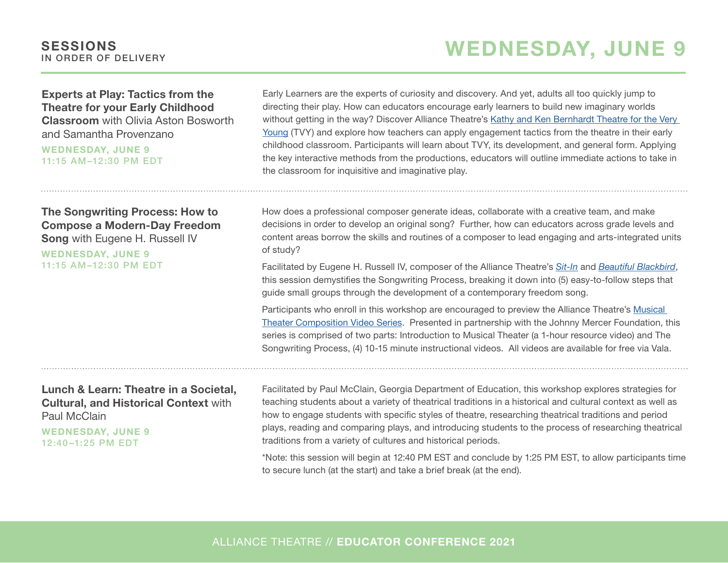# WEDNESDAY, JUNE 9

#### Experts at Play: Tactics from the Theatre for your Early Childhood Classroom with Olivia Aston Bosworth and Samantha Provenzano

WEDNESDAY, JUNE 9 11:15 AM –12:30 PM EDT

#### The Songwriting Process: How to Compose a Modern-Day Freedom Song with Eugene H. Russell IV

WEDNESDAY, JUNE 9 11:15 AM –12:30 PM EDT Early Learners are the experts of curiosity and discovery. And yet, adults all too quickly jump to directing their play. How can educators encourage early learners to build new imaginary worlds without getting in the way? Discover Alliance Theatre's [Kathy and Ken Bernhardt Theatre for the Very](https://alliancetheatre.org/content/the-kathy-ken-bernhardt-theatre-the-very-young)  [Young](https://alliancetheatre.org/content/the-kathy-ken-bernhardt-theatre-the-very-young) (TVY) and explore how teachers can apply engagement tactics from the theatre in their early childhood classroom. Participants will learn about TVY, its development, and general form. Applying the key interactive methods from the productions, educators will outline immediate actions to take in the classroom for inquisitive and imaginative play.

How does a professional composer generate ideas, collaborate with a creative team, and make decisions in order to develop an original song? Further, how can educators across grade levels and content areas borrow the skills and routines of a composer to lead engaging and arts-integrated units of study?

Facilitated by Eugene H. Russell IV, composer of the Alliance Theatre's *[Sit-In](https://alliancetheatre.org/production/2020-21/sit)* and *[Beautiful Blackbird](https://alliancetheatre.org/production/alliance-theatre-anywhere/beautiful-blackbird)*, this session demystifies the Songwriting Process, breaking it down into (5) easy-to-follow steps that guide small groups through the development of a contemporary freedom song.

Participants who enroll in this workshop are encouraged to preview the Alliance Theatre's [Musical](https://alliancetheatre.org/content/johnny-mercer-foundation-partnership)  [Theater Composition Video Series](https://alliancetheatre.org/content/johnny-mercer-foundation-partnership). Presented in partnership with the Johnny Mercer Foundation, this series is comprised of two parts: Introduction to Musical Theater (a 1-hour resource video) and The Songwriting Process, (4) 10-15 minute instructional videos. All videos are available for free via Vala.

#### Lunch & Learn: Theatre in a Societal, Cultural, and Historical Context with Paul McClain

WEDNESDAY, JUNE 9 12:40 –1:25 PM EDT

Facilitated by Paul McClain, Georgia Department of Education, this workshop explores strategies for teaching students about a variety of theatrical traditions in a historical and cultural context as well as how to engage students with specific styles of theatre, researching theatrical traditions and period plays, reading and comparing plays, and introducing students to the process of researching theatrical traditions from a variety of cultures and historical periods.

\*Note: this session will begin at 12:40 PM EST and conclude by 1:25 PM EST, to allow participants time to secure lunch (at the start) and take a brief break (at the end).